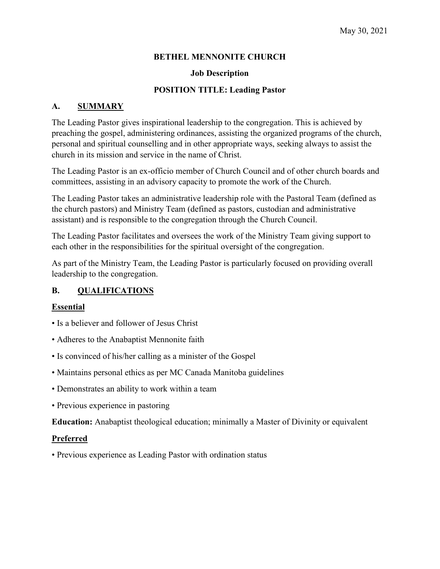## **BETHEL MENNONITE CHURCH**

#### **Job Description**

#### **POSITION TITLE: Leading Pastor**

## **A. SUMMARY**

The Leading Pastor gives inspirational leadership to the congregation. This is achieved by preaching the gospel, administering ordinances, assisting the organized programs of the church, personal and spiritual counselling and in other appropriate ways, seeking always to assist the church in its mission and service in the name of Christ.

The Leading Pastor is an ex-officio member of Church Council and of other church boards and committees, assisting in an advisory capacity to promote the work of the Church.

The Leading Pastor takes an administrative leadership role with the Pastoral Team (defined as the church pastors) and Ministry Team (defined as pastors, custodian and administrative assistant) and is responsible to the congregation through the Church Council.

The Leading Pastor facilitates and oversees the work of the Ministry Team giving support to each other in the responsibilities for the spiritual oversight of the congregation.

As part of the Ministry Team, the Leading Pastor is particularly focused on providing overall leadership to the congregation.

## **B. QUALIFICATIONS**

## **Essential**

- Is a believer and follower of Jesus Christ
- Adheres to the Anabaptist Mennonite faith
- Is convinced of his/her calling as a minister of the Gospel
- Maintains personal ethics as per MC Canada Manitoba guidelines
- Demonstrates an ability to work within a team
- Previous experience in pastoring

**Education:** Anabaptist theological education; minimally a Master of Divinity or equivalent

#### **Preferred**

• Previous experience as Leading Pastor with ordination status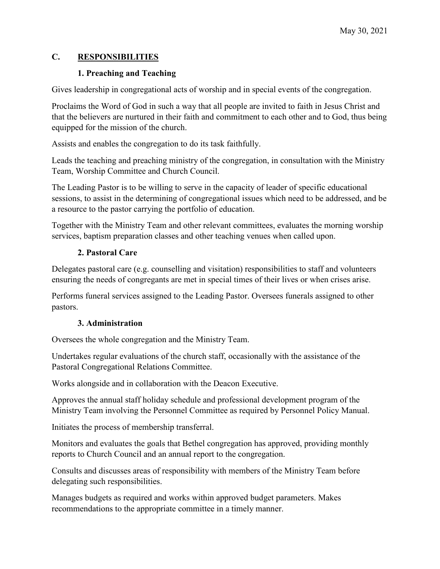## **C. RESPONSIBILITIES**

## **1. Preaching and Teaching**

Gives leadership in congregational acts of worship and in special events of the congregation.

Proclaims the Word of God in such a way that all people are invited to faith in Jesus Christ and that the believers are nurtured in their faith and commitment to each other and to God, thus being equipped for the mission of the church.

Assists and enables the congregation to do its task faithfully.

Leads the teaching and preaching ministry of the congregation, in consultation with the Ministry Team, Worship Committee and Church Council.

The Leading Pastor is to be willing to serve in the capacity of leader of specific educational sessions, to assist in the determining of congregational issues which need to be addressed, and be a resource to the pastor carrying the portfolio of education.

Together with the Ministry Team and other relevant committees, evaluates the morning worship services, baptism preparation classes and other teaching venues when called upon.

## **2. Pastoral Care**

Delegates pastoral care (e.g. counselling and visitation) responsibilities to staff and volunteers ensuring the needs of congregants are met in special times of their lives or when crises arise.

Performs funeral services assigned to the Leading Pastor. Oversees funerals assigned to other pastors.

# **3. Administration**

Oversees the whole congregation and the Ministry Team.

Undertakes regular evaluations of the church staff, occasionally with the assistance of the Pastoral Congregational Relations Committee.

Works alongside and in collaboration with the Deacon Executive.

Approves the annual staff holiday schedule and professional development program of the Ministry Team involving the Personnel Committee as required by Personnel Policy Manual.

Initiates the process of membership transferral.

Monitors and evaluates the goals that Bethel congregation has approved, providing monthly reports to Church Council and an annual report to the congregation.

Consults and discusses areas of responsibility with members of the Ministry Team before delegating such responsibilities.

Manages budgets as required and works within approved budget parameters. Makes recommendations to the appropriate committee in a timely manner.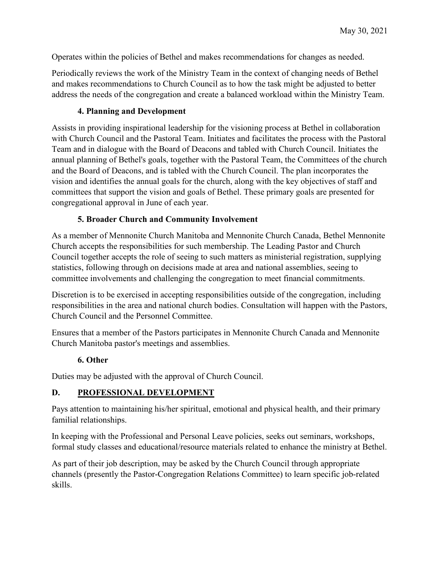Operates within the policies of Bethel and makes recommendations for changes as needed.

Periodically reviews the work of the Ministry Team in the context of changing needs of Bethel and makes recommendations to Church Council as to how the task might be adjusted to better address the needs of the congregation and create a balanced workload within the Ministry Team.

## **4. Planning and Development**

Assists in providing inspirational leadership for the visioning process at Bethel in collaboration with Church Council and the Pastoral Team. Initiates and facilitates the process with the Pastoral Team and in dialogue with the Board of Deacons and tabled with Church Council. Initiates the annual planning of Bethel's goals, together with the Pastoral Team, the Committees of the church and the Board of Deacons, and is tabled with the Church Council. The plan incorporates the vision and identifies the annual goals for the church, along with the key objectives of staff and committees that support the vision and goals of Bethel. These primary goals are presented for congregational approval in June of each year.

## **5. Broader Church and Community Involvement**

As a member of Mennonite Church Manitoba and Mennonite Church Canada, Bethel Mennonite Church accepts the responsibilities for such membership. The Leading Pastor and Church Council together accepts the role of seeing to such matters as ministerial registration, supplying statistics, following through on decisions made at area and national assemblies, seeing to committee involvements and challenging the congregation to meet financial commitments.

Discretion is to be exercised in accepting responsibilities outside of the congregation, including responsibilities in the area and national church bodies. Consultation will happen with the Pastors, Church Council and the Personnel Committee.

Ensures that a member of the Pastors participates in Mennonite Church Canada and Mennonite Church Manitoba pastor's meetings and assemblies.

## **6. Other**

Duties may be adjusted with the approval of Church Council.

## **D. PROFESSIONAL DEVELOPMENT**

Pays attention to maintaining his/her spiritual, emotional and physical health, and their primary familial relationships.

In keeping with the Professional and Personal Leave policies, seeks out seminars, workshops, formal study classes and educational/resource materials related to enhance the ministry at Bethel.

As part of their job description, may be asked by the Church Council through appropriate channels (presently the Pastor-Congregation Relations Committee) to learn specific job-related skills.